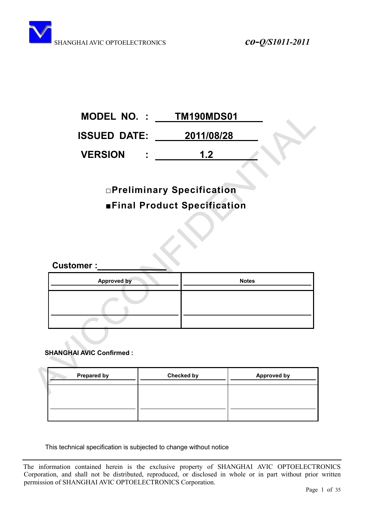| <b>MODEL NO.:</b>   | TM190MDS01 |
|---------------------|------------|
| <b>ISSUED DATE:</b> | 2011/08/28 |
| <b>VERSION</b>      | 1.2        |

# **ƑPreliminary Specification**  $\blacksquare$ **Final Product Specification**

**Customer :** 

| <b>Approved by</b> | <b>Notes</b> |
|--------------------|--------------|
|                    |              |
|                    |              |

## **SHANGHAI AVIC Confirmed :**

| <b>Prepared by</b> | <b>Checked by</b> | <b>Approved by</b> |
|--------------------|-------------------|--------------------|
|                    |                   |                    |
|                    |                   |                    |

This technical specification is subjected to change without notice

The information contained herein is the exclusive property of SHANGHAI AVIC OPTOELECTRONICS Corporation, and shall not be distributed, reproduced, or disclosed in whole or in part without prior written permission of SHANGHAI AVIC OPTOELECTRONICS Corporation.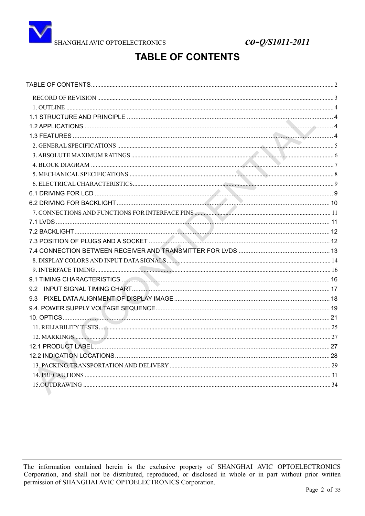<span id="page-1-0"></span>

co-Q/S1011-2011

## **TABLE OF CONTENTS**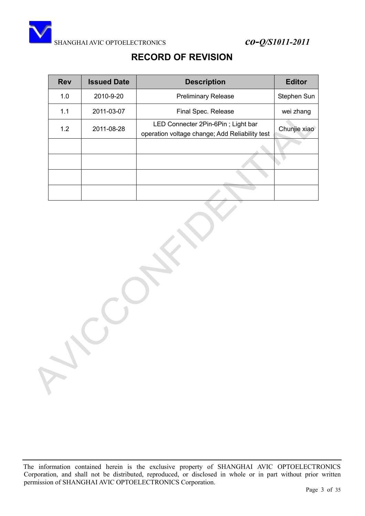

## **RECORD OF REVISION**

<span id="page-2-0"></span>

| <b>Rev</b> | <b>Issued Date</b> | <b>Description</b>                                                                   | <b>Editor</b> |
|------------|--------------------|--------------------------------------------------------------------------------------|---------------|
| 1.0        | 2010-9-20          | <b>Preliminary Release</b>                                                           | Stephen Sun   |
| 1.1        | 2011-03-07         | Final Spec. Release                                                                  | wei zhang     |
| 1.2        | 2011-08-28         | LED Connecter 2Pin-6Pin; Light bar<br>operation voltage change; Add Reliability test | Chunjie xiao  |
|            |                    |                                                                                      |               |
|            |                    |                                                                                      |               |
|            |                    |                                                                                      |               |
|            |                    |                                                                                      |               |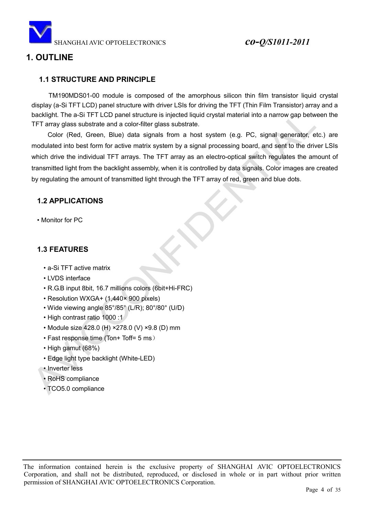

## <span id="page-3-0"></span>**1. OUTLINE**

## <span id="page-3-1"></span>**1.1 STRUCTURE AND PRINCIPLE**

TM190MDS01-00 module is composed of the amorphous silicon thin film transistor liquid crystal display (a-Si TFT LCD) panel structure with driver LSIs for driving the TFT (Thin Film Transistor) array and a backlight. The a-Si TFT LCD panel structure is injected liquid crystal material into a narrow gap between the TFT array glass substrate and a color-filter glass substrate.

Color (Red, Green, Blue) data signals from a host system (e.g. PC, signal generator, etc.) are modulated into best form for active matrix system by a signal processing board, and sent to the driver LSIs which drive the individual TFT arrays. The TFT array as an electro-optical switch regulates the amount of transmitted light from the backlight assembly, when it is controlled by data signals. Color images are created by regulating the amount of transmitted light through the TFT array of red, green and blue dots.

### <span id="page-3-2"></span>**1.2 APPLICATIONS**

• Monitor for PC

## <span id="page-3-3"></span>**1.3 FEATURES**

- a-Si TFT active matrix
- LVDS interface
- R.G.B input 8bit, 16.7 millions colors (6bit+Hi-FRC)
- Resolution WXGA+ (1,440× 900 pixels)
- Wide viewing angle 85°/85° (L/R); 80°/80° (U/D)
- High contrast ratio 1000 :1
- Module size 428.0 (H) ×278.0 (V) ×9.8 (D) mm
- Fast response time (Ton+ Toff= 5 ms)
- High gamut (68%)
- Edge light type backlight (White-LED)
- Inverter less
- RoHS compliance
- TCO5.0 compliance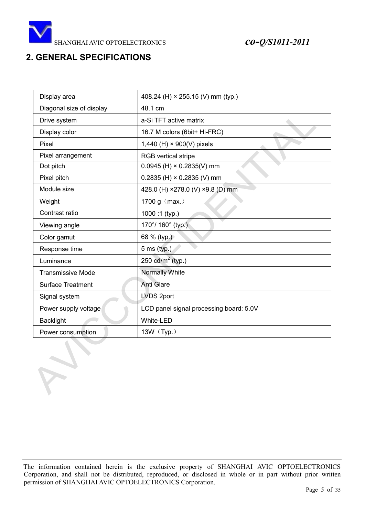

## <span id="page-4-0"></span>**2. GENERAL SPECIFICATIONS**

| Display area             | 408.24 (H) × 255.15 (V) mm (typ.)       |
|--------------------------|-----------------------------------------|
| Diagonal size of display | 48.1 cm                                 |
| Drive system             | a-Si TFT active matrix                  |
| Display color            | 16.7 M colors (6bit+ Hi-FRC)            |
| Pixel                    | 1,440 (H) × 900(V) pixels               |
| Pixel arrangement        | <b>RGB</b> vertical stripe              |
| Dot pitch                | $0.0945$ (H) $\times$ 0.2835(V) mm      |
| Pixel pitch              | $0.2835$ (H) $\times$ 0.2835 (V) mm     |
| Module size              | 428.0 (H) ×278.0 (V) ×9.8 (D) mm        |
| Weight                   | 1700 g (max.)                           |
| Contrast ratio           | 1000:1 (typ.)                           |
| Viewing angle            | 170°/ 160° (typ.)                       |
| Color gamut              | 68 % (typ.)                             |
| Response time            | 5 ms (typ.)                             |
| Luminance                | 250 $cd/m^2$ (typ.)                     |
| <b>Transmissive Mode</b> | Normally White                          |
| <b>Surface Treatment</b> | <b>Anti Glare</b>                       |
| Signal system            | LVDS 2port                              |
| Power supply voltage     | LCD panel signal processing board: 5.0V |
| <b>Backlight</b>         | White-LED                               |
| Power consumption        | 13W (Typ.)                              |

The information contained herein is the exclusive property of SHANGHAI AVIC OPTOELECTRONICS Corporation, and shall not be distributed, reproduced, or disclosed in whole or in part without prior written permission of SHANGHAI AVIC OPTOELECTRONICS Corporation.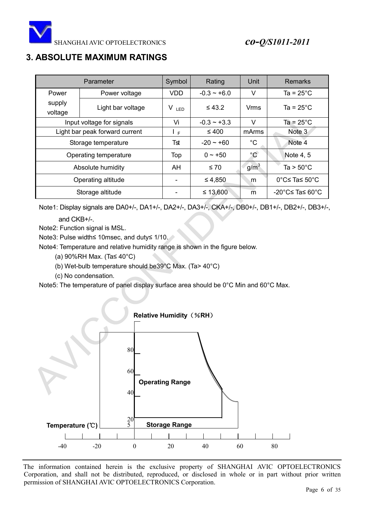

## <span id="page-5-0"></span>**3. ABSOLUTE MAXIMUM RATINGS**

|                       | Parameter                      | Symbol     | Rating           | Unit             | <b>Remarks</b>      |
|-----------------------|--------------------------------|------------|------------------|------------------|---------------------|
| Power                 | Power voltage                  | <b>VDD</b> | $-0.3 - +6.0$    | V                | Ta = $25^{\circ}$ C |
| supply<br>voltage     | Light bar voltage              | $V_{LED}$  | $\leq 43.2$      | <b>Vrms</b>      | $Ta = 25^{\circ}C$  |
|                       | Input voltage for signals      | Vi         | $-0.3 \sim +3.3$ | V                | Ta = $25^{\circ}$ C |
|                       | Light bar peak forward current | ΙF         | $\leq 400$       | mArms            | Note 3              |
| Storage temperature   |                                | Tst        | $-20 - +60$      | $^{\circ}C$      | Note 4              |
| Operating temperature |                                | Top        | $0 \sim +50$     | $^{\circ}$ C     | Note 4, 5           |
|                       | Absolute humidity              | AH         | $\leq 70$        | g/m <sup>3</sup> | Ta > $50^{\circ}$ C |
| Operating altitude    |                                |            | ≤ 4,850          | m                | 0°C≤ Ta≤ 50°C       |
|                       | Storage altitude               |            | $\leq 13,600$    | m                | -20°C≤ Ta≤ 60°C     |

Note1: Display signals are DA0+/-, DA1+/-, DA2+/-, DA3+/-, CKA+/-, DB0+/-, DB1+/-, DB2+/-, DB3+/-, and  $CKB+/-$ 

Note2: Function signal is MSL.

Note3: Pulse width≤ 10msec, and duty≤ 1/10.

Note4: Temperature and relative humidity range is shown in the figure below.

- (a)  $90\%$ RH Max. (Ta $\leq 40^{\circ}$ C)
- (b) Wet-bulb temperature should be39°C Max. (Ta> 40°C)
- (c) No condensation.

Note5: The temperature of panel display surface area should be 0°C Min and 60°C Max.

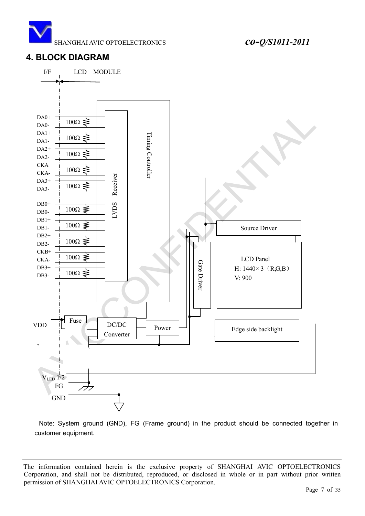![](_page_6_Picture_0.jpeg)

## <span id="page-6-0"></span>**4. BLOCK DIAGRAM**

![](_page_6_Figure_3.jpeg)

Note: System ground (GND), FG (Frame ground) in the product should be connected together in customer equipment.

The information contained herein is the exclusive property of SHANGHAI AVIC OPTOELECTRONICS Corporation, and shall not be distributed, reproduced, or disclosed in whole or in part without prior written permission of SHANGHAI AVIC OPTOELECTRONICS Corporation.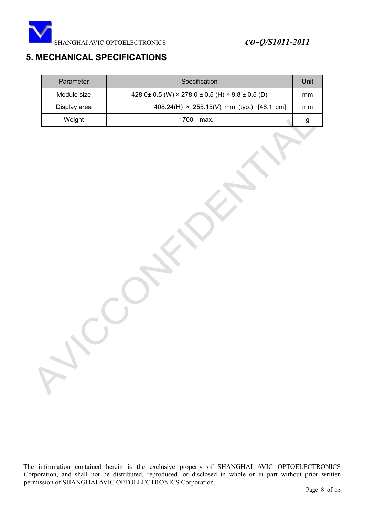![](_page_7_Picture_0.jpeg)

## <span id="page-7-0"></span>**5. MECHANICAL SPECIFICATIONS**

| Parameter    | Specification                                                 |    |  |  |
|--------------|---------------------------------------------------------------|----|--|--|
| Module size  | $428.0 \pm 0.5$ (W) × 278.0 $\pm$ 0.5 (H) × 9.8 $\pm$ 0.5 (D) | mm |  |  |
| Display area | 408.24(H) × 255.15(V) mm (typ.), [48.1 cm]                    | mm |  |  |
| Weight       | 1700 $(max.)$                                                 | g  |  |  |

The information contained herein is the exclusive property of SHANGHAI AVIC OPTOELECTRONICS Corporation, and shall not be distributed, reproduced, or disclosed in whole or in part without prior written permission of SHANGHAI AVIC OPTOELECTRONICS Corporation.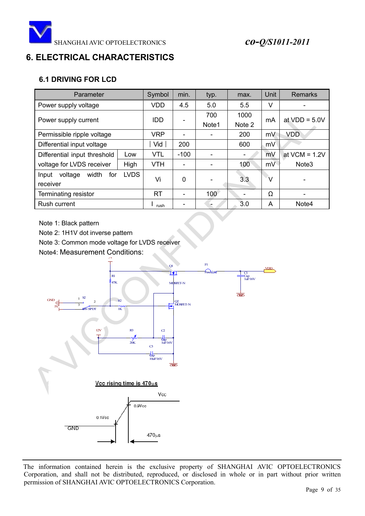![](_page_8_Picture_0.jpeg)

## <span id="page-8-0"></span>**6. ELECTRICAL CHARACTERISTICS**

## <span id="page-8-1"></span>**6.1 DRIVING FOR LCD**

| Parameter                        | Symbol      | min.       | typ.     | max.  | Unit   | Remarks |                   |
|----------------------------------|-------------|------------|----------|-------|--------|---------|-------------------|
| Power supply voltage             |             | <b>VDD</b> | 4.5      | 5.0   | 5.5    | $\vee$  |                   |
| Power supply current             |             | IDD        |          | 700   | 1000   | mA      | at $VDD = 5.0V$   |
|                                  |             |            |          | Note1 | Note 2 |         |                   |
| Permissible ripple voltage       |             | <b>VRP</b> |          |       | 200    | mV      | <b>VDD</b>        |
| Differential input voltage       |             | Vid        | 200      |       | 600    | mV      |                   |
| Differential input threshold     | Low         | <b>VTL</b> | $-100$   |       |        | mV      | at $VCM = 1.2V$   |
| voltage for LVDS receiver        | High        | <b>VTH</b> |          |       | 100    | mV      | Note <sub>3</sub> |
| width<br>voltage<br>for<br>Input | <b>LVDS</b> | Vi         | $\Omega$ |       | 3.3    | $\vee$  |                   |
| receiver                         |             |            |          |       |        |         |                   |
| Terminating resistor             |             | <b>RT</b>  |          | 100   |        | Ω       |                   |
| Rush current                     |             | rush       |          |       | 3.0    | A       | Note4             |

Note 1: Black pattern

Note 2: 1H1V dot inverse pattern

Note 3: Common mode voltage for LVDS receiver

Note4: Measurement Conditions:

![](_page_8_Figure_9.jpeg)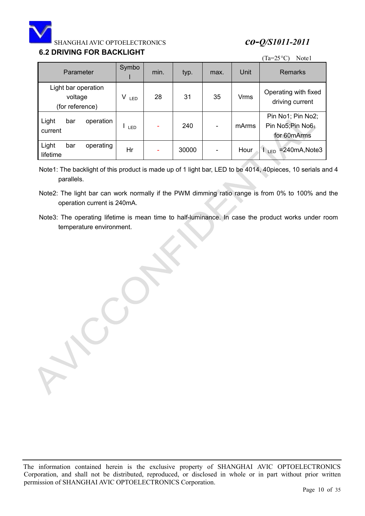![](_page_9_Picture_0.jpeg)

## <span id="page-9-0"></span>**6.2 DRIVING FOR BACKLIGHT**

| 0.4 DIVIVIIVO I OIN DAVINEIOI I I                 | (Ta=25 $^{\circ}$ C)<br>Note1 |      |       |      |             |                                                       |
|---------------------------------------------------|-------------------------------|------|-------|------|-------------|-------------------------------------------------------|
| Parameter                                         | Symbo                         | min. | typ.  | max. | <b>Unit</b> | <b>Remarks</b>                                        |
| Light bar operation<br>voltage<br>(for reference) | V<br>LED                      | 28   | 31    | 35   | <b>Vrms</b> | Operating with fixed<br>driving current               |
| Light<br>operation<br>bar<br>current              | LED                           |      | 240   | -    | mArms       | Pin No1; Pin No2;<br>Pin No5; Pin No6;<br>for 60mArms |
| Light<br>operating<br>bar<br>lifetime             | Hr                            |      | 30000 |      | Hour        | $=240mA$ , Note3<br>$L_{ED}$                          |

Note1: The backlight of this product is made up of 1 light bar, LED to be 4014, 40pieces, 10 serials and 4 parallels.

Note2: The light bar can work normally if the PWM dimming ratio range is from 0% to 100% and the operation current is 240mA.

Note3: The operating lifetime is mean time to half-luminance. In case the product works under room temperature environment.

The information contained herein is the exclusive property of SHANGHAI AVIC OPTOELECTRONICS Corporation, and shall not be distributed, reproduced, or disclosed in whole or in part without prior written permission of SHANGHAI AVIC OPTOELECTRONICS Corporation.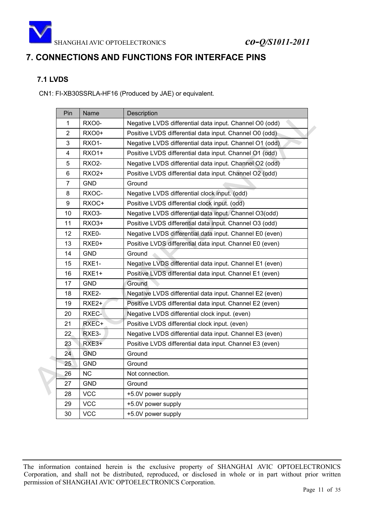![](_page_10_Picture_0.jpeg)

## <span id="page-10-0"></span>**7. CONNECTIONS AND FUNCTIONS FOR INTERFACE PINS**

## <span id="page-10-1"></span>**7.1 LVDS**

CN1: FI-XB30SSRLA-HF16 (Produced by JAE) or equivalent.

| Pin            | Name         | Description                                              |
|----------------|--------------|----------------------------------------------------------|
| $\mathbf{1}$   | RXO0-        | Negative LVDS differential data input. Channel O0 (odd)  |
| $\overline{2}$ | <b>RXO0+</b> | Positive LVDS differential data input. Channel O0 (odd)  |
| 3              | RXO1-        | Negative LVDS differential data input. Channel O1 (odd)  |
| 4              | <b>RXO1+</b> | Positive LVDS differential data input. Channel O1 (odd)  |
| 5              | <b>RXO2-</b> | Negative LVDS differential data input. Channel O2 (odd)  |
| 6              | <b>RXO2+</b> | Positive LVDS differential data input. Channel O2 (odd)  |
| $\overline{7}$ | <b>GND</b>   | Ground                                                   |
| 8              | RXOC-        | Negative LVDS differential clock input. (odd)            |
| 9              | RXOC+        | Positive LVDS differential clock input. (odd)            |
| 10             | RXO3-        | Negative LVDS differential data input. Channel O3(odd)   |
| 11             | RXO3+        | Positive LVDS differential data input. Channel O3 (odd)  |
| 12             | RXE0-        | Negative LVDS differential data input. Channel E0 (even) |
| 13             | RXE0+        | Positive LVDS differential data input. Channel E0 (even) |
| 14             | <b>GND</b>   | Ground                                                   |
| 15             | RXE1-        | Negative LVDS differential data input. Channel E1 (even) |
| 16             | RXE1+        | Positive LVDS differential data input. Channel E1 (even) |
| 17             | <b>GND</b>   | Ground                                                   |
| 18             | RXE2-        | Negative LVDS differential data input. Channel E2 (even) |
| 19             | RXE2+        | Positive LVDS differential data input. Channel E2 (even) |
| 20             | RXEC-        | Negative LVDS differential clock input. (even)           |
| 21             | RXEC+        | Positive LVDS differential clock input. (even)           |
| 22             | RXE3-        | Negative LVDS differential data input. Channel E3 (even) |
| 23             | RXE3+        | Positive LVDS differential data input. Channel E3 (even) |
| 24             | <b>GND</b>   | Ground                                                   |
| 25             | <b>GND</b>   | Ground                                                   |
| 26             | NC           | Not connection.                                          |
| 27             | <b>GND</b>   | Ground                                                   |
| 28             | <b>VCC</b>   | +5.0V power supply                                       |
| 29             | <b>VCC</b>   | +5.0V power supply                                       |
| 30             | <b>VCC</b>   | +5.0V power supply                                       |

The information contained herein is the exclusive property of SHANGHAI AVIC OPTOELECTRONICS Corporation, and shall not be distributed, reproduced, or disclosed in whole or in part without prior written permission of SHANGHAI AVIC OPTOELECTRONICS Corporation.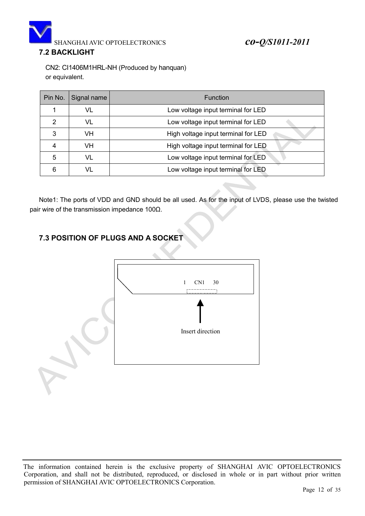![](_page_11_Picture_0.jpeg)

## <span id="page-11-0"></span>**7.2 BACKLIGHT**

CN2: CI1406M1HRL-NH (Produced by hanquan) or equivalent.

| Pin No. | Signal name | <b>Function</b>                     |  |
|---------|-------------|-------------------------------------|--|
|         | VL          | Low voltage input terminal for LED  |  |
| 2       | VL          | Low voltage input terminal for LED  |  |
| 3       | VH          | High voltage input terminal for LED |  |
|         | VH          | High voltage input terminal for LED |  |
| 5       | VL          | Low voltage input terminal for LED  |  |
| 6       |             | Low voltage input terminal for LED  |  |

Note1: The ports of VDD and GND should be all used. As for the input of LVDS, please use the twisted pair wire of the transmission impedance 100 $\Omega$ .

## <span id="page-11-1"></span>**7.3 POSITION OF PLUGS AND A SOCKET**

![](_page_11_Figure_7.jpeg)

The information contained herein is the exclusive property of SHANGHAI AVIC OPTOELECTRONICS Corporation, and shall not be distributed, reproduced, or disclosed in whole or in part without prior written permission of SHANGHAI AVIC OPTOELECTRONICS Corporation.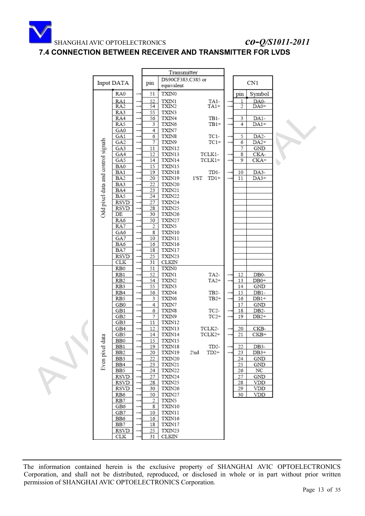![](_page_12_Picture_0.jpeg)

## <span id="page-12-0"></span>**7.4 CONNECTION BETWEEN RECEIVER AND TRANSMITTER FOR LVDS**

|                                    |                            |                    |          |                        | Transmitter |                   |  |          |                      |  |
|------------------------------------|----------------------------|--------------------|----------|------------------------|-------------|-------------------|--|----------|----------------------|--|
|                                    |                            |                    |          | DS90CF383,C385 or      |             |                   |  |          |                      |  |
|                                    | Input DATA                 |                    | pin      | equivalent             |             |                   |  |          | CN1                  |  |
|                                    | RA0                        |                    | 51       | TXIN0                  |             |                   |  | pin      | Symbol               |  |
|                                    | RA1                        |                    | 52       | TXIN1                  |             | TA1-              |  | 1        | DA0-                 |  |
|                                    | RA <sub>2</sub>            |                    | 54       | TXIN2                  |             | TA1+              |  | 2        | DA0+                 |  |
|                                    | RA3                        | $\rightarrow$      | 55       | TXIN3                  |             |                   |  |          |                      |  |
|                                    | RA4<br>RA5                 |                    | 56       | TXIN4                  |             | TB1-              |  | 3        | DA1-                 |  |
|                                    | GA0                        | -<br>$\rightarrow$ | 3<br>4   | TXIN6<br>TXIN7         |             | $TB1+$            |  | 4        | DA1+                 |  |
|                                    | GA1                        |                    | б        | TXIN8                  |             | TC1-              |  | 5        | DA <sub>2</sub> -    |  |
|                                    | GA <sub>2</sub>            | $\rightarrow$      | 7        | TXIN9                  |             | $TC1+$            |  | 6        | DA <sub>2+</sub>     |  |
|                                    | GA3                        | $\rightarrow$      | 11       | TXIN12                 |             |                   |  | 7        | GND                  |  |
|                                    | GA4                        | $\rightarrow$      | 12       | TXIN13                 |             | TCLK1-            |  | 8        | CKA-                 |  |
|                                    | GA5                        |                    | 14       | TXIN14                 |             | TCLK1+            |  | 9        | $CKA+$               |  |
|                                    | BA0<br>BA1                 | $\rightarrow$      | 15<br>19 | TXIN15<br>TXIN18       |             | TD1-              |  | 10       | DA3-                 |  |
|                                    | BA2                        | $\rightarrow$      | 20       | TXIN19                 | 1'ST        | $TD1+$            |  | 11       | DA3+                 |  |
|                                    | BA3                        |                    | 22       | TXIN20                 |             |                   |  |          |                      |  |
|                                    | BA4                        |                    | 23       | TXIN21                 |             |                   |  |          |                      |  |
|                                    | BA5                        | $\rightarrow$      | 24       | TXIN22                 |             |                   |  |          |                      |  |
| Odd pixel data and control signals | RSVD                       | $\rightarrow$      | 27       | TXIN24                 |             |                   |  |          |                      |  |
|                                    | RSVD<br>DE                 | $\rightarrow$      | 28<br>30 | TXIN25<br>TXIN26       |             |                   |  |          |                      |  |
|                                    | RA6                        |                    | 50       | TXIN27                 |             |                   |  |          |                      |  |
|                                    | RA7                        | -                  | 2        | TXIN5                  |             |                   |  |          |                      |  |
|                                    | GA6                        |                    | 8        | TXIN10                 |             |                   |  |          |                      |  |
|                                    | GA7                        |                    | 10       | TXIN11                 |             |                   |  |          |                      |  |
|                                    | BA6                        | $\rightarrow$      | 16       | TXIN16                 |             |                   |  |          |                      |  |
|                                    | BA7                        |                    | 18       | TXIN17                 |             |                   |  |          |                      |  |
|                                    | RSVD<br>CLK                | $\rightarrow$      | 25<br>31 | TXIN23<br><b>CLKIN</b> |             |                   |  |          |                      |  |
|                                    | RB <sub>0</sub>            |                    | 51       | TXIN0                  |             |                   |  |          |                      |  |
|                                    | RB1                        |                    | 52       | TXIN1                  |             | TA2-              |  | 12       | DB <sub>0</sub> -    |  |
|                                    | RB <sub>2</sub>            |                    | 54       | TXIN2                  |             | $TA2+$            |  | 13       | $DB0+$               |  |
|                                    | RB3                        |                    | 55       | TXIN3                  |             |                   |  | 14       | GND                  |  |
|                                    | RB4<br>RB5                 | $\rightarrow$      | 56<br>3  | TXIN4<br>TXIN6         |             | TB2-<br>$TB2+$    |  | 15<br>16 | DB1-<br>$DB1+$       |  |
|                                    | GB0                        |                    | 4        | TXIN7                  |             |                   |  | 17       | $\operatorname{GND}$ |  |
|                                    | GB1                        | $\rightarrow$      | б        | TXIN8                  |             | TC2-              |  | 18       | DB <sub>2</sub> -    |  |
|                                    | GB2                        |                    | 7        | TXIN9                  |             | $TC2+$            |  | 19       | $DB2+$               |  |
|                                    | GB3                        | $\rightarrow$      | 11       | TXIN12                 |             |                   |  |          |                      |  |
|                                    | GB4                        |                    | 12       | TXIN13                 |             | TCLK2-            |  | 20       | CKB-                 |  |
| lata                               | GB5                        | $\rightarrow$      | 14       | TXIN14<br>TXIN15       |             | TCLK2+            |  | 21       | CKB+                 |  |
|                                    | BB0<br>BB1                 | $\rightarrow$      | 15<br>19 | TXIN18                 |             | TD <sub>2</sub> - |  | 22       | DB3-                 |  |
|                                    | BB <sub>2</sub>            |                    | 20       | TXIN19                 | 2'nd        | $TD2+$            |  | 23       | $DB3+$               |  |
|                                    | BB3                        |                    | 22       | TXIN20                 |             |                   |  | 24       | <b>GND</b>           |  |
| Even pixel                         | BB4                        |                    | 23       | TXIN21                 |             |                   |  | 25       | GND                  |  |
|                                    | BB5                        |                    | 24       | TXIN22                 |             |                   |  | 26       | NC                   |  |
|                                    | <b>RSVD</b><br><b>RSVD</b> |                    | 27<br>28 | TXIN24<br>TXIN25       |             |                   |  | 27<br>28 | <b>GND</b><br>VDD    |  |
|                                    | RSVD                       |                    | 30       | TXIN26                 |             |                   |  | 29       | VDD                  |  |
|                                    | RB6                        |                    | 50       | TXIN27                 |             |                   |  | 30       | VDD                  |  |
|                                    | RB7                        |                    | 2        | TXIN5                  |             |                   |  |          |                      |  |
|                                    | GB6                        |                    | 8        | TXIN10                 |             |                   |  |          |                      |  |
|                                    | GB7                        | $\rightarrow$      | 10       | TXIN11                 |             |                   |  |          |                      |  |
|                                    | BB6<br>BB7                 | $\rightarrow$      | 16<br>18 | TXIN16<br>TXIN17       |             |                   |  |          |                      |  |
|                                    | RSVD                       |                    | 25       | TXIN23                 |             |                   |  |          |                      |  |
|                                    | CLK                        |                    | 31       | CLKIN                  |             |                   |  |          |                      |  |
|                                    |                            |                    |          |                        |             |                   |  |          |                      |  |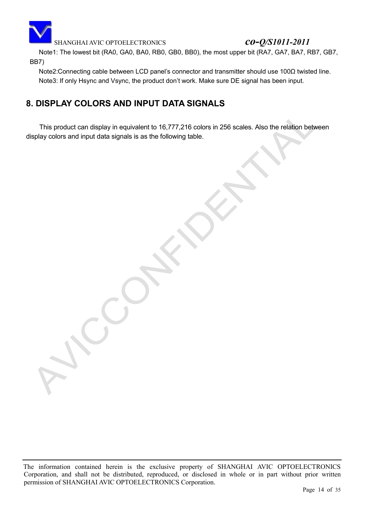![](_page_13_Picture_0.jpeg)

Note1: The lowest bit (RA0, GA0, BA0, RB0, GB0, BB0), the most upper bit (RA7, GA7, BA7, RB7, GB7, BB7)

Note2: Connecting cable between LCD panel's connector and transmitter should use 100 $\Omega$  twisted line. Note3: If only Hsync and Vsync, the product don't work. Make sure DE signal has been input.

## <span id="page-13-0"></span>**8. DISPLAY COLORS AND INPUT DATA SIGNALS**

This product can display in equivalent to 16,777,216 colors in 256 scales. Also the relation between display colors and input data signals is as the following table.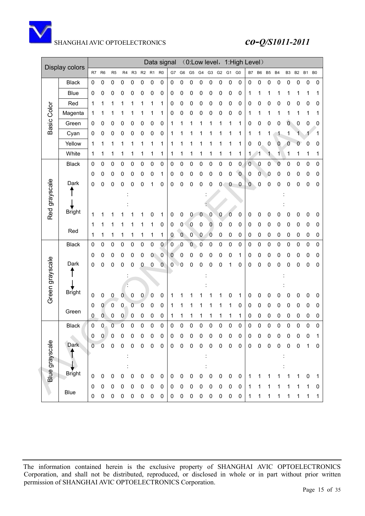![](_page_14_Picture_0.jpeg)

|                 |                |                |                |                |                |           |             |             | Data signal    |                |         | (0:Low level,        |             |           |           |             | 1:High Level) |           |                |                |                |           |   |          |   |
|-----------------|----------------|----------------|----------------|----------------|----------------|-----------|-------------|-------------|----------------|----------------|---------|----------------------|-------------|-----------|-----------|-------------|---------------|-----------|----------------|----------------|----------------|-----------|---|----------|---|
|                 | Display colors | R7             | R <sub>6</sub> | R <sub>5</sub> |                | R4 R3     | R2 R1       |             | R <sub>0</sub> | G7             |         | G6 G5 G4 G3 G2 G1 G0 |             |           |           |             |               | <b>B7</b> | B <sub>6</sub> | B <sub>5</sub> | B <sub>4</sub> | <b>B3</b> |   | B2 B1 B0 |   |
|                 | <b>Black</b>   | 0              | 0              | 0              | 0              | 0         | 0           | 0           | 0              | 0              | 0       | 0                    | 0           | 0         | 0         | 0           | 0             | 0         | 0              | 0              | 0              | 0         | 0 | 0        | 0 |
|                 | <b>Blue</b>    | 0              | 0              | 0              | 0              | 0         | 0           | 0           | 0              | 0              | 0       | 0                    | 0           | 0         | 0         | 0           | 0             | 1         | 1              | 1              | 1              |           | 1 |          | 1 |
|                 | Red            | 1              | 1              | 1              | 1              |           | 1           | 1           | 1              | 0              | 0       | 0                    | 0           | 0         | 0         | 0           | 0             | 0         | 0              | 0              | 0              | 0         | 0 | 0        | 0 |
|                 | Magenta        | 1              | 1              |                |                |           |             | 1           | 1              | 0              | 0       | 0                    | 0           | 0         | 0         | 0           | 0             | 1         | 1              |                | 1              |           | 1 | 1        |   |
| Basic Color     | Green          | 0              | 0              | 0              | 0              | 0         | 0           | 0           | 0              | 1              |         | 1                    |             |           | 1         | 1           | 1             | 0         | 0              | 0              | 0              | 0         | 0 | 0        | 0 |
|                 | Cyan           | 0              | 0              | 0              | 0              | 0         | 0           | 0           | 0              | 1              |         |                      |             |           |           |             | 1             | 1         | 1              | 1              |                | 1         | 1 |          | 1 |
|                 | Yellow         | 1              | 1              | 1              | 1              |           | 1           | 1           | 1              | 1              |         |                      |             |           |           | 1           | 1             | 0         | 0              | 0              | 0              | 0         | 0 | 0        | 0 |
|                 | White          | 1              | 1              | 1              | 1              | 1         | 1           | 1           | 1              | 1              | 1       | 1                    | 1           | 1         | 1         | 1           | 1             | 1         | 1              | 1              | 1              | 1         | 1 | 1        | 1 |
|                 | <b>Black</b>   | 0              | 0              | 0              | 0              | 0         | 0           | 0           | 0              | 0              | 0       | 0                    | 0           | 0         | 0         | 0           | 0             | 0         | 0              | 0              | 0              | 0         | 0 | 0        | 0 |
|                 |                | 0              | 0              | 0              | 0              | 0         | 0           | 0           | 1              | 0              | 0       | 0                    | 0           | 0         | 0         | 0           | $\mathbf 0$   | 0         | 0              | 0              | 0              | 0         | 0 | 0        | 0 |
|                 | Dark           | 0              | 0              | 0              | 0              | 0         | 0           | 1           | 0              | 0              | 0       | 0                    | 0           | 0         | 0         | 0           | 0             | 0         | 0              | 0              | 0              | 0         | 0 | 0        | 0 |
| Red grayscale   |                |                |                |                |                |           |             |             |                |                |         |                      |             |           |           |             |               |           |                |                |                |           |   |          |   |
|                 |                |                |                |                |                |           |             |             |                |                |         |                      |             |           |           |             |               |           |                |                |                |           |   |          |   |
|                 | <b>Bright</b>  | 1              | 1              |                |                |           |             | 0           | 1              | 0              | 0       | 0                    | 0           | 0         | 0         | 0           | 0             | 0         | 0              | 0              | 0              | 0         | 0 | 0        | 0 |
|                 | Red            | 1              | 1              |                |                |           |             | 1           | 0              | 0              | 0       | $\bf{0}$             | 0           | 0         | 0         | 0           | 0             | 0         | 0              | 0              | 0              | 0         | 0 | 0        | 0 |
|                 |                | 1              | 1              | 1              | 1              | 1         | 1           | 1           | 1              | 0              | $\bf 0$ | $\mathbf 0$          | 0           | 0         | 0         | 0           | 0             | 0         | $\pmb{0}$      | 0              | 0              | 0         | 0 | 0        | 0 |
|                 | <b>Black</b>   | 0              | 0              | 0              | 0              | 0         | 0           | 0           | 0              | $\overline{0}$ | 0       | 0                    | 0           | 0         | 0         | 0           | 0             | 0         | 0              | 0              | 0              | 0         | 0 | 0        | 0 |
|                 |                | 0              | 0              | 0              | 0              | 0         | 0           | 0           | 0              | 0              | 0       | 0                    | 0           | 0         | 0         | 0           | 1             | 0         | 0              | 0              | 0              | 0         | 0 | 0        | 0 |
|                 | Dark           | 0              | 0              | 0              | 0              | 0         | 0           | 0           | 0              | 0              | 0       | 0                    | 0           | 0         | 0         | 1           | 0             | 0         | 0              | 0              | 0              | 0         | 0 | 0        | 0 |
| Green grayscale |                |                |                |                |                |           |             |             |                |                |         |                      |             |           |           |             |               |           |                |                |                |           |   |          |   |
|                 | <b>Bright</b>  |                |                |                |                |           |             |             |                |                |         |                      |             |           |           |             |               |           |                |                |                |           |   |          |   |
|                 |                | 0              | 0              | 0              | 0              | 0         | 0           | 0           | 0              | 1              |         |                      |             |           |           | 0           | 1             | 0         | 0              | 0              | 0              | 0         | 0 | 0        | 0 |
|                 | Green          | 0              | 0              | 0              | 0              | 0         | 0           | 0           | 0              | 1              |         | 1                    |             | 1         |           | 1           | 0             | 0         | 0              | 0              | 0              | 0         | 0 | 0        | 0 |
|                 |                | 0              | $\mathbf 0$    | 0              | 0              | $\pmb{0}$ | 0           | 0           | 0              | 1              | 1       | 1                    | 1           | 1         | 1         | 1           | 1             | 0         | $\pmb{0}$      | 0              | 0              | 0         | 0 | 0        | 0 |
|                 | <b>Black</b>   | 0              | 0              | 0              | $\overline{0}$ | 0         | 0           | 0           | 0              | 0              | 0       | 0                    | 0           | 0         | 0         | 0           | 0             | 0         | 0              | 0              | 0              | 0         | 0 | 0        | 0 |
|                 | <b>Dark</b>    | 0              | 0              | 0              | 0              | 0         | 0           | 0           | 0              | 0              | 0       | 0                    | 0           | 0         | 0         | 0           | 0             | 0         | 0              | 0              | 0              | 0         | 0 | 0        | 1 |
|                 |                | $\overline{0}$ | $\overline{0}$ | 0              | 0              | 0         | 0           | 0           | 0              | 0              | 0       | 0                    | 0           | 0         | 0         | 0           | 0             | 0         | 0              | 0              | 0              | 0         | 0 | 1        | 0 |
|                 |                |                |                |                |                |           |             |             |                |                |         |                      |             |           |           |             |               |           |                |                |                |           |   |          |   |
| Blue grayscale  | <b>Bright</b>  |                |                |                |                |           |             |             |                |                |         |                      |             |           |           |             |               |           |                |                |                |           |   |          |   |
|                 |                | 0              | $\mathbf 0$    | 0              | 0              | 0         | $\mathsf 0$ | $\mathbf 0$ | 0              | 0              | 0       | 0                    | 0           | $\pmb{0}$ | 0         | $\mathbf 0$ | 0             | 1         | 1              | 1              | 1              | 1         | 1 | 0        | 1 |
|                 | Blue           | 0              | $\mathbf 0$    | 0              | 0              | 0         | 0           | 0           | 0              | 0              | 0       | 0                    | 0           | 0         | 0         | 0           | 0             | 1         | 1              |                |                |           |   | 1        | 0 |
|                 |                | 0              | $\pmb{0}$      | 0              | 0              | $\pmb{0}$ | 0           | $\pmb{0}$   | 0              | $\mathbf 0$    | 0       | $\pmb{0}$            | $\mathsf 0$ | $\pmb{0}$ | $\pmb{0}$ | $\pmb{0}$   | 0             | 1         | 1              | 1              | 1              | 1         | 1 | 1        | 1 |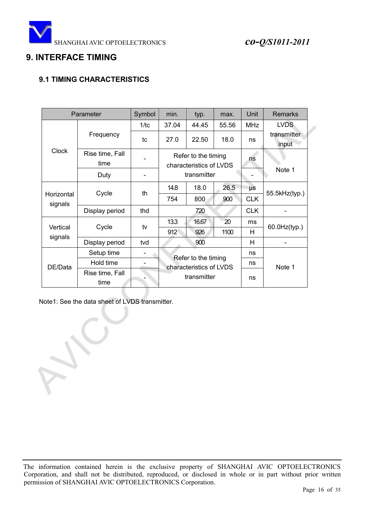![](_page_15_Picture_0.jpeg)

## <span id="page-15-0"></span>**9. INTERFACE TIMING**

## <span id="page-15-1"></span>**9.1 TIMING CHARACTERISTICS**

|                       | Parameter               | Symbol | min.  | typ.                                           | max.  | Unit       | <b>Remarks</b>       |
|-----------------------|-------------------------|--------|-------|------------------------------------------------|-------|------------|----------------------|
| <b>Clock</b>          |                         | 1/tc   | 37.04 | 44.45                                          | 55.56 | <b>MHz</b> | <b>LVDS</b>          |
|                       | Frequency               | tc     | 27.0  | 22.50                                          | 18.0  | ns         | transmitter<br>input |
|                       | Rise time, Fall<br>time |        |       | Refer to the timing<br>characteristics of LVDS |       | ns         |                      |
|                       | Duty                    |        |       | transmitter                                    |       |            | Note 1               |
|                       |                         |        | 14.8  | 18.0                                           | 26.5  | μs         |                      |
| Horizontal<br>signals | Cycle                   | th     | 754   | 800                                            | 900   | <b>CLK</b> | 55.5kHz(typ.)        |
|                       | Display period          | thd    |       | 720                                            |       | <b>CLK</b> |                      |
|                       |                         |        | 13.3  | 16.67                                          | 20    | ms         |                      |
| Vertical<br>signals   | Cycle                   | tv     | 912   | 926                                            | 1100  | Н          | $60.0$ Hz $(typ.)$   |
|                       | Display period          | tvd    |       | 900                                            |       | H          |                      |
|                       | Setup time              |        |       | Refer to the timing                            |       | ns         |                      |
| DE/Data               | Hold time               |        |       | characteristics of LVDS                        |       | ns         | Note 1               |
|                       | Rise time, Fall         |        |       | transmitter                                    |       |            |                      |
|                       | time                    |        |       |                                                |       | ns         |                      |

Note1: See the data sheet of LVDS transmitter.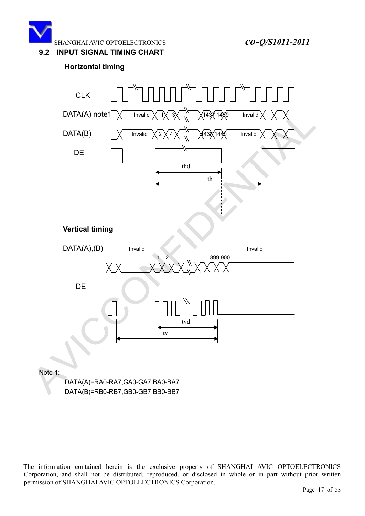![](_page_16_Picture_0.jpeg)

#### <span id="page-16-0"></span>**9.2 INPUT SIGNAL TIMING CHART**

### **Horizontal timing**

![](_page_16_Figure_4.jpeg)

Note 1:

DATA(A)=RA0-RA7,GA0-GA7,BA0-BA7 DATA(B)=RB0-RB7,GB0-GB7,BB0-BB7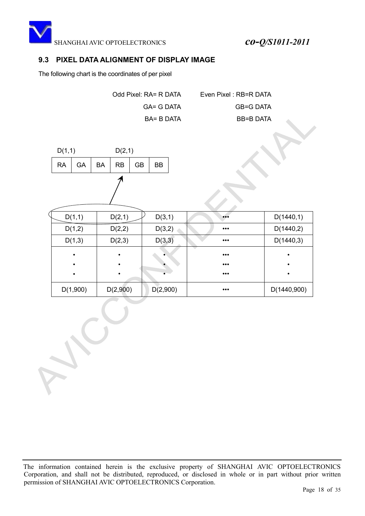![](_page_17_Picture_0.jpeg)

### <span id="page-17-0"></span>**9.3 PIXEL DATA ALIGNMENT OF DISPLAY IMAGE**

The following chart is the coordinates of per pixel

Odd Pixel: RA= R DATA Even Pixel : RB=R DATA GA= G DATA GB=G DATA BA= B DATA BB=B DATA

![](_page_17_Figure_5.jpeg)

| D(1,1)    | D(2,1)    | D(3,1)   | $\bullet\bullet\bullet$ | D(1440,1)   |
|-----------|-----------|----------|-------------------------|-------------|
| D(1,2)    | D(2,2)    | D(3,2)   | $\bullet\bullet\bullet$ | D(1440,2)   |
| D(1,3)    | D(2,3)    | D(3,3)   | $\bullet\bullet\bullet$ | D(1440,3)   |
| $\bullet$ | $\bullet$ |          | $\bullet\bullet\bullet$ | ٠           |
| $\bullet$ | ٠         |          | $\bullet\bullet\bullet$ | $\bullet$   |
| ٠         |           |          | $\bullet\bullet\bullet$ | ٠           |
| D(1,900)  | D(2,900)  | D(2,900) | $\bullet\bullet\bullet$ | D(1440,900) |

The information contained herein is the exclusive property of SHANGHAI AVIC OPTOELECTRONICS Corporation, and shall not be distributed, reproduced, or disclosed in whole or in part without prior written permission of SHANGHAI AVIC OPTOELECTRONICS Corporation.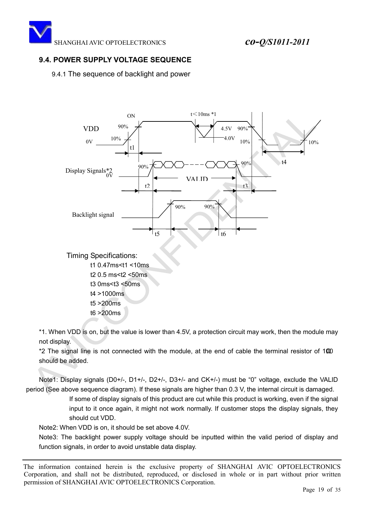## <span id="page-18-0"></span>**9.4. POWER SUPPLY VOLTAGE SEQUENCE**

9.4.1 The sequence of backlight and power

![](_page_18_Figure_4.jpeg)

\*1. When VDD is on, but the value is lower than 4.5V, a protection circuit may work, then the module may not display.

\*2 The signal line is not connected with the module, at the end of cable the terminal resistor of 100 should be added.

Note1: Display signals (D0+/-, D1+/-, D2+/-, D3+/- and CK+/-) must be "0" voltage, exclude the VALID period (See above sequence diagram). If these signals are higher than 0.3 V, the internal circuit is damaged.

> If some of display signals of this product are cut while this product is working, even if the signal input to it once again, it might not work normally. If customer stops the display signals, they should cut VDD.

Note2: When VDD is on, it should be set above 4.0V.

Note3: The backlight power supply voltage should be inputted within the valid period of display and function signals, in order to avoid unstable data display.

The information contained herein is the exclusive property of SHANGHAI AVIC OPTOELECTRONICS Corporation, and shall not be distributed, reproduced, or disclosed in whole or in part without prior written permission of SHANGHAI AVIC OPTOELECTRONICS Corporation.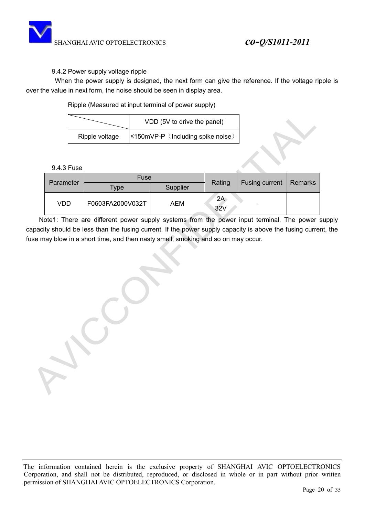![](_page_19_Picture_0.jpeg)

#### 9.4.2 Power supply voltage ripple

 When the power supply is designed, the next form can give the reference. If the voltage ripple is over the value in next form, the noise should be seen in display area.

Ripple (Measured at input terminal of power supply)

|                | VDD (5V to drive the panel)              |
|----------------|------------------------------------------|
| Ripple voltage | $\leq 150$ mVP-P (Including spike noise) |

| Parameter | Fuse             |          | Rating    | Fusing current | Remarks |
|-----------|------------------|----------|-----------|----------------|---------|
|           | $TV$ pe          | Supplier |           |                |         |
| VDD       | F0603FA2000V032T | AEM      | 2A<br>32V |                |         |

Note1: There are different power supply systems from the power input terminal. The power supply capacity should be less than the fusing current. If the power supply capacity is above the fusing current, the fuse may blow in a short time, and then nasty smell, smoking and so on may occur.

The information contained herein is the exclusive property of SHANGHAI AVIC OPTOELECTRONICS Corporation, and shall not be distributed, reproduced, or disclosed in whole or in part without prior written permission of SHANGHAI AVIC OPTOELECTRONICS Corporation.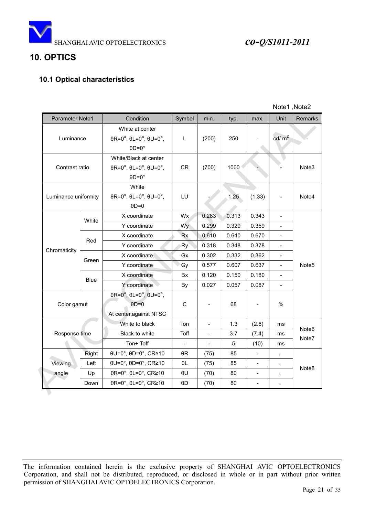![](_page_20_Picture_0.jpeg)

![](_page_20_Picture_1.jpeg)

## <span id="page-20-0"></span>**10. OPTICS**

## **10.1 Optical characteristics**

|                      |             |                                                                                         |                          |                     |       |                          | Note1, Note2   |                   |
|----------------------|-------------|-----------------------------------------------------------------------------------------|--------------------------|---------------------|-------|--------------------------|----------------|-------------------|
| Parameter Note1      |             | Condition                                                                               | Symbol                   | min.                | typ.  | max.                     | Unit           | <b>Remarks</b>    |
| Luminance            |             | White at center<br>$\theta$ R=0°, $\theta$ L=0°, $\theta$ U=0°,<br>$\theta$ D=0°        | L                        | (200)               | 250   |                          | cd/ $m2$       |                   |
| Contrast ratio       |             | White/Black at center<br>$\theta$ R=0°, $\theta$ L=0°, $\theta$ U=0°,<br>$\Theta$ D=0°  | <b>CR</b>                | (700)               | 1000  |                          |                | Note3             |
| Luminance uniformity |             | White<br>$\theta$ R=0°, $\theta$ L=0°, $\theta$ U=0°,<br>$\Theta$ D=0                   | LU                       |                     | 1.25  | (1.33)                   |                | Note4             |
|                      | White       | X coordinate                                                                            | Wx                       | 0.283               | 0.313 | 0.343                    |                |                   |
|                      |             | Y coordinate                                                                            | Wy                       | 0.299               | 0.329 | 0.359                    | $\blacksquare$ |                   |
|                      | Red         | X coordinate                                                                            | <b>Rx</b>                | 0.610               | 0.640 | 0.670                    |                |                   |
| Chromaticity         |             | Y coordinate                                                                            | Ry                       | 0.318               | 0.348 | 0.378                    |                |                   |
|                      | Green       | X coordinate                                                                            | Gx                       | 0.302               | 0.332 | 0.362                    |                |                   |
|                      |             | Y coordinate                                                                            | Gy                       | 0.577               | 0.607 | 0.637                    | $\blacksquare$ | Note <sub>5</sub> |
|                      |             | X coordinate                                                                            | Bx                       | 0.120               | 0.150 | 0.180                    |                |                   |
|                      | <b>Blue</b> | Y coordinate                                                                            | By                       | 0.027               | 0.057 | 0.087                    | $\overline{a}$ |                   |
| Color gamut          |             | $\theta$ R=0°, $\theta$ L=0°, $\theta$ U=0°,<br>$\theta$ D=0<br>At center, against NTSC | $\mathsf C$              | $\qquad \qquad -$   | 68    | $\overline{\phantom{a}}$ | $\%$           |                   |
|                      |             | White to black                                                                          | Ton                      | $\bar{\phantom{a}}$ | 1.3   | (2.6)                    | ms             | Note <sub>6</sub> |
| Response time        |             | <b>Black to white</b>                                                                   | Toff                     | $\frac{1}{2}$       | 3.7   | (7.4)                    | ms             | Note7             |
|                      |             | Ton+ Toff                                                                               | $\overline{\phantom{a}}$ | $\Box$              | 5     | (10)                     | ms             |                   |
|                      | Right       | $\theta U = 0^\circ$ , $\theta D = 0^\circ$ , CR $\geq 10$                              | θR                       | (75)                | 85    | $\blacksquare$           | $\circ$        |                   |
| Viewing              | Left        | θU=0°, θD=0°, CR≥10                                                                     | $\theta L$               | (75)                | 85    | $\frac{1}{2}$            | $\circ$        | Note <sub>8</sub> |
| angle                | Up          | $\theta$ R=0°, $\theta$ L=0°, CR≥10                                                     | θU                       | (70)                | 80    | $\blacksquare$           | $\circ$        |                   |
|                      | Down        | $\theta$ R=0°, $\theta$ L=0°, CR≥10                                                     | θD                       | (70)                | 80    |                          | $\circ$        |                   |
|                      |             |                                                                                         |                          |                     |       |                          |                |                   |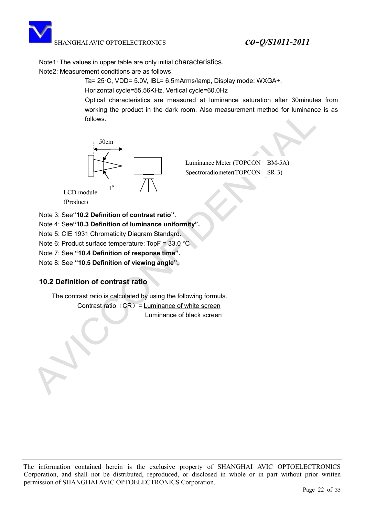![](_page_21_Picture_1.jpeg)

Note1: The values in upper table are only initial characteristics.

Note2: Measurement conditions are as follows.

Ta= 25°C, VDD= 5.0V, IBL= 6.5mArms/lamp, Display mode: WXGA+,

Horizontal cycle=55.56KHz, Vertical cycle=60.0Hz

Optical characteristics are measured at luminance saturation after 30minutes from working the product in the dark room. Also measurement method for luminance is as follows.

![](_page_21_Figure_7.jpeg)

Luminance Meter (TOPCON BM-5A) Spectroradiometer(TOPCON SR-3)

- Note 3: See**"10.2 Definition of contrast ratio".**
- Note 4: See**"10.3 Definition of luminance uniformity".**
- Note 5: CIE 1931 Chromaticity Diagram Standard.
- Note 6: Product surface temperature: TopF = 33.0 °C
- Note 7: See **"10.4 Definition of response time".**

Note 8: See **"10.5 Definition of viewing angle".**

## **10.2 Definition of contrast ratio**

The contrast ratio is calculated by using the following formula.

Contrast ratio  $(CR)$  = Luminance of white screen Luminance of black screen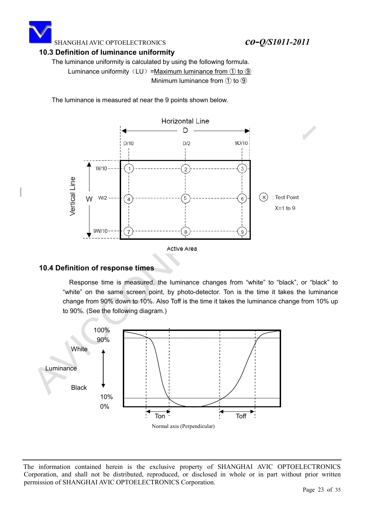![](_page_22_Picture_0.jpeg)

#### **10.3 Definition of luminance uniformity**

The luminance uniformity is calculated by using the following formula.

Luminance uniformity  $(LU) =$ Maximum luminance from  $\textcircled{1}$  to  $\textcircled{9}$ Minimum luminance from  $(1)$  to  $(9)$ 

The luminance is measured at near the 9 points shown below.

![](_page_22_Figure_6.jpeg)

### **10.4 Definition of response times**

Response time is measured, the luminance changes from "white" to "black", or "black" to "white" on the same screen point, by photo-detector. Ton is the time it takes the luminance change from 90% down to 10%. Also Toff is the time it takes the luminance change from 10% up to 90%. (See the following diagram.)

![](_page_22_Figure_9.jpeg)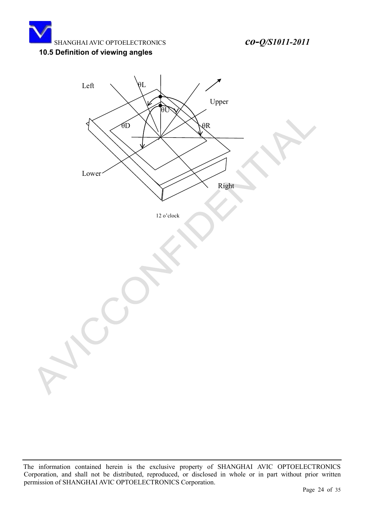![](_page_23_Picture_0.jpeg)

## **10.5 Definition of viewing angles**

![](_page_23_Figure_3.jpeg)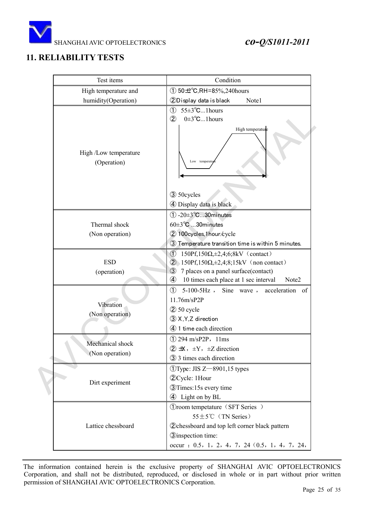![](_page_24_Picture_0.jpeg)

## <span id="page-24-0"></span>**11. RELIABILITY TESTS**

| Test items                           | Condition                                                                                                                                                                                                                                                           |
|--------------------------------------|---------------------------------------------------------------------------------------------------------------------------------------------------------------------------------------------------------------------------------------------------------------------|
| High temperature and                 | $(1)$ 50 $\pm$ °C, RH=85%, 240 hours                                                                                                                                                                                                                                |
| humidity(Operation)                  | 2Display data is black<br>Note1                                                                                                                                                                                                                                     |
|                                      | $55 \pm 3^{\circ}$ C1 hours<br>$\circled{1}$<br>$0\pm3^{\circ}C$ 1 hours<br>$\circled{2}$                                                                                                                                                                           |
| High /Low temperature<br>(Operation) | High temperature<br>Low temperatu                                                                                                                                                                                                                                   |
|                                      | 3 50 cycles<br>4 Display data is black                                                                                                                                                                                                                              |
|                                      | $(1)$ -20 $\pm$ 3°C30 minutes                                                                                                                                                                                                                                       |
| Thermal shock                        | $60\pm3\text{°C}$ 30minutes                                                                                                                                                                                                                                         |
| (Non operation)                      | 2 100 cycles, 1 hour / cycle                                                                                                                                                                                                                                        |
|                                      | 3) Temperature transition time is within 5 minutes.                                                                                                                                                                                                                 |
| <b>ESD</b><br>(operation)            | $\circled{1}$<br>$150Pf, 150\Omega, \pm 2, 4, 6, 8kV$ (contact)<br>$150Pf, 150\Omega, \pm 2, 4, 8, 15kV$ (non contact)<br>$\circled{2}$<br>$\circled{3}$<br>7 places on a panel surface(contact)<br>10 times each place at 1 sec interval<br>$\circled{4}$<br>Note2 |
| Vibration<br>(Non operation)         | $\circled{1}$<br>$5-100-5Hz$ , Sine wave,<br>acceleration of<br>11.76m/sP2P<br>$(2)$ 50 cycle<br>3 X, Y, Z direction<br>4 1 time each direction                                                                                                                     |
| Mechanical shock<br>(Non operation)  | $(1)$ 294 m/sP2P, 11ms<br>$\overline{2} \pm X$ , $\pm Y$ , $\pm Z$ direction<br>3 3 times each direction                                                                                                                                                            |
| Dirt experiment                      | $QType: JIS Z = 8901, 15$ types<br>2 Cycle: 1 Hour<br><b>3</b> Times:15s every time<br>4 Light on by BL                                                                                                                                                             |
| Lattice chessboard                   | (Droom tempetature (SFT Series)<br>$55 \pm 5^{\circ}$ C (TN Series)<br><b>2</b> chessboard and top left corner black pattern<br><b>3</b> inspection time:<br>occur : 0.5, 1, 2, 4, 7, 24 (0.5, 1, 4, 7, 24,                                                         |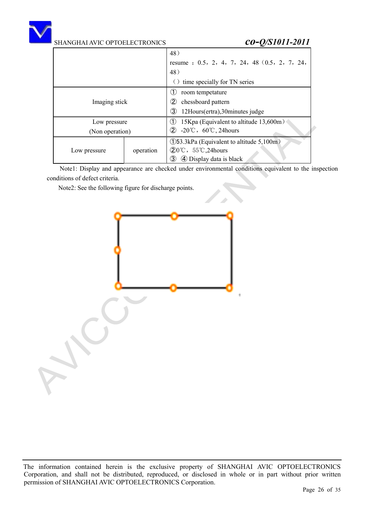![](_page_25_Picture_0.jpeg)

|                 |           | 48)                                                             |  |  |  |  |  |
|-----------------|-----------|-----------------------------------------------------------------|--|--|--|--|--|
|                 |           | resume : 0.5, 2, 4, 7, 24, 48 (0.5, 2, 7, 24,                   |  |  |  |  |  |
|                 |           | 48)                                                             |  |  |  |  |  |
|                 |           | time specially for TN series<br>( )                             |  |  |  |  |  |
|                 |           | room tempetature<br>(1)                                         |  |  |  |  |  |
| Imaging stick   |           | $^\mathrm{(2)}$<br>chessboard pattern                           |  |  |  |  |  |
|                 |           | 3)<br>12Hours(ertra), 30minutes judge                           |  |  |  |  |  |
| Low pressure    |           | 15Kpa (Equivalent to altitude 13,600m)<br>(1)                   |  |  |  |  |  |
| (Non operation) |           | (2)<br>$-20^{\circ}\text{C}$ , 60 $^{\circ}\text{C}$ , 24 hours |  |  |  |  |  |
|                 |           | (1)53.3kPa (Equivalent to altitude 5,100m)                      |  |  |  |  |  |
| Low pressure    | operation | $(20^{\circ}\text{C}, 55^{\circ}\text{C}, 24 \text{hours})$     |  |  |  |  |  |
|                 |           | 4 Display data is black<br>3)                                   |  |  |  |  |  |

Note1: Display and appearance are checked under environmental conditions equivalent to the inspection conditions of defect criteria.

Note2: See the following figure for discharge points.

![](_page_25_Figure_6.jpeg)

The information contained herein is the exclusive property of SHANGHAI AVIC OPTOELECTRONICS Corporation, and shall not be distributed, reproduced, or disclosed in whole or in part without prior written permission of SHANGHAI AVIC OPTOELECTRONICS Corporation.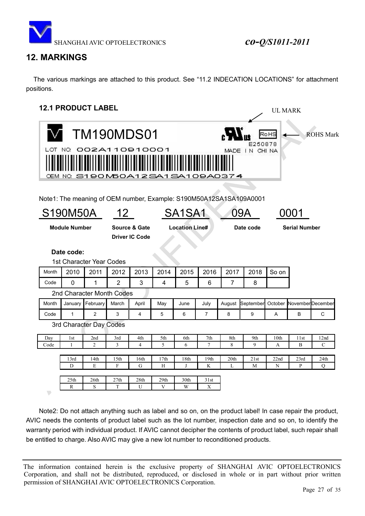![](_page_26_Picture_0.jpeg)

UL MARK

## <span id="page-26-0"></span>**12. MARKINGS**

 The various markings are attached to this product. See "11.2 INDECATION LOCATIONS" for attachment positions.

## <span id="page-26-1"></span>**12.1 PRODUCT LABEL**

|                      | <b>TM190MDS01</b><br><b>ROHS</b> Mark<br>RoHS<br>E250878<br>OT NO. 002A110910001.<br>MADE IN CHINA<br>0EM NO. S1 90 M50 A 1 2 SA 1 SA 1 0 9 A 0 3 7 4<br>Note1: The meaning of OEM number, Example: S190M50A12SA1SA109A0001 |                                 |                  |                                        |      |                                 |                |                |           |       |                      |                           |
|----------------------|-----------------------------------------------------------------------------------------------------------------------------------------------------------------------------------------------------------------------------|---------------------------------|------------------|----------------------------------------|------|---------------------------------|----------------|----------------|-----------|-------|----------------------|---------------------------|
|                      | S190M50A                                                                                                                                                                                                                    |                                 | 12 <sup>°</sup>  |                                        |      | SA <sub>1</sub> SA <sub>1</sub> |                |                | 09A       |       | 0001                 |                           |
|                      | <b>Module Number</b>                                                                                                                                                                                                        |                                 |                  | Source & Gate<br><b>Driver IC Code</b> |      | <b>Location Line#</b>           |                |                | Date code |       | <b>Serial Number</b> |                           |
|                      | Date code:                                                                                                                                                                                                                  |                                 |                  |                                        |      |                                 |                |                |           |       |                      |                           |
|                      |                                                                                                                                                                                                                             | <b>1st Character Year Codes</b> |                  |                                        |      |                                 |                |                |           |       |                      |                           |
| Month                | 2010                                                                                                                                                                                                                        | 2011                            | 2012             | 2013                                   | 2014 | 2015                            | 2016           | 2017           | 2018      | So on |                      |                           |
| Code                 | $\mathbf{0}$                                                                                                                                                                                                                | 1                               | $\overline{2}$   | 3                                      | 4    | 5                               | 6              | $\overline{7}$ | 8         |       |                      |                           |
|                      |                                                                                                                                                                                                                             | 2nd Character Month Codes       |                  |                                        |      |                                 |                |                |           |       |                      |                           |
| Month                | January                                                                                                                                                                                                                     | February                        | March            | April                                  | May  | June                            | July           | August         | September |       |                      | October November December |
| Code                 | 1                                                                                                                                                                                                                           | $\overline{c}$                  | 3                | 4                                      | 5    | 6                               | 7              | 8              | 9         | Α     | В                    | $\mathsf C$               |
|                      |                                                                                                                                                                                                                             | 3rd Character Day Codes         |                  |                                        |      |                                 |                |                |           |       |                      |                           |
| Day                  | 1st                                                                                                                                                                                                                         | 2nd                             | 3rd              | 4th                                    | 5th  | 6th                             | 7th            | 8th            | 9th       | 10th  | 11st                 | 12nd                      |
| Code                 | $\mathbf{1}$                                                                                                                                                                                                                | $\overline{2}$                  | 3                | $\overline{4}$                         | 5    | 6                               | $\overline{7}$ | 8              | 9         | A     | B                    | $\mathcal{C}$             |
|                      | 13rd                                                                                                                                                                                                                        | 14th                            | 15th             | 16th                                   | 17th | 18th                            | 19th           | 20th           | 21st      | 22nd  | 23rd                 | 24th                      |
|                      | D                                                                                                                                                                                                                           | E                               | F                | G                                      | H    | J                               | K              | L              | М         | N     | P                    | $\overline{O}$            |
|                      | 25 <sub>th</sub>                                                                                                                                                                                                            | 26th                            | 27 <sub>th</sub> | 28th                                   | 29th | 30th                            | 31st           |                |           |       |                      |                           |
|                      | $\mathbb{R}$                                                                                                                                                                                                                | S                               | T                | U                                      | V    | W                               | X              |                |           |       |                      |                           |
| $\blacktriangledown$ |                                                                                                                                                                                                                             |                                 |                  |                                        |      |                                 |                |                |           |       |                      |                           |

Note2: Do not attach anything such as label and so on, on the product label! In case repair the product, AVIC needs the contents of product label such as the lot number, inspection date and so on, to identify the warranty period with individual product. If AVIC cannot decipher the contents of product label, such repair shall be entitled to charge. Also AVIC may give a new lot number to reconditioned products.

The information contained herein is the exclusive property of SHANGHAI AVIC OPTOELECTRONICS Corporation, and shall not be distributed, reproduced, or disclosed in whole or in part without prior written permission of SHANGHAI AVIC OPTOELECTRONICS Corporation.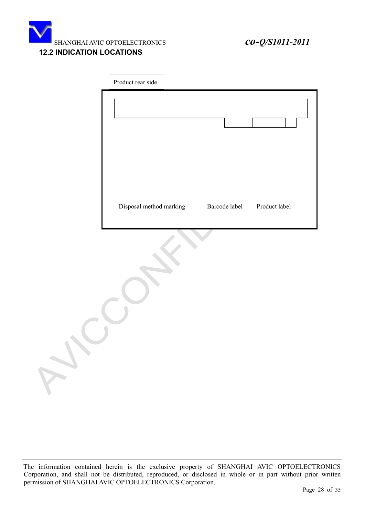![](_page_27_Picture_0.jpeg)

### <span id="page-27-0"></span>**12.2 INDICATION LOCATIONS**

| Product rear side       |               |               |  |
|-------------------------|---------------|---------------|--|
|                         |               |               |  |
| Disposal method marking | Barcode label | Product label |  |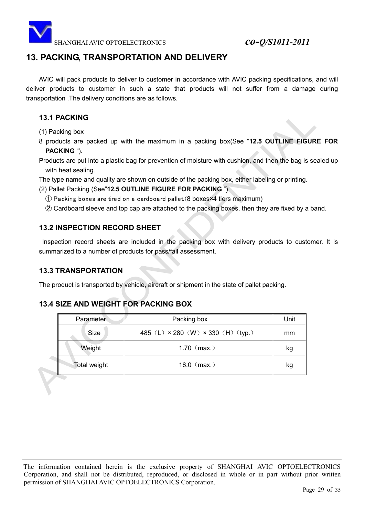![](_page_28_Picture_0.jpeg)

## <span id="page-28-0"></span>**13. PACKING, TRANSPORTATION AND DELIVERY**

AVIC will pack products to deliver to customer in accordance with AVIC packing specifications, and will deliver products to customer in such a state that products will not suffer from a damage during transportation .The delivery conditions are as follows.

### **13.1 PACKING**

(1) Packing box

8 products are packed up with the maximum in a packing box(See "**12.5 OUTLINE FIGURE FOR PACKING** ").

Products are put into a plastic bag for prevention of moisture with cushion, and then the bag is sealed up with heat sealing.

The type name and quality are shown on outside of the packing box, either labeling or printing.

#### (2) Pallet Packing (See"**12.5 OUTLINE FIGURE FOR PACKING** ")

- 䐟 Packing boxes are tired on a cardboard pallet.(8 boxes×4 tiers maximum)
- 䐠 Cardboard sleeve and top cap are attached to the packing boxes, then they are fixed by a band.

### **13.2 INSPECTION RECORD SHEET**

Inspection record sheets are included in the packing box with delivery products to customer. It is summarized to a number of products for pass/fail assessment.

### **13.3 TRANSPORTATION**

The product is transported by vehicle, aircraft or shipment in the state of pallet packing.

## **13.4 SIZE AND WEIGHT FOR PACKING BOX**

|  | Parameter    | Packing box                                      | Unit |
|--|--------------|--------------------------------------------------|------|
|  | <b>Size</b>  | 485 (L) $\times$ 280 (W) $\times$ 330 (H) (typ.) | mm   |
|  | Weight       | 1.70 $(max.)$                                    | kg   |
|  | Total weight | 16.0 $(max.)$                                    | kg   |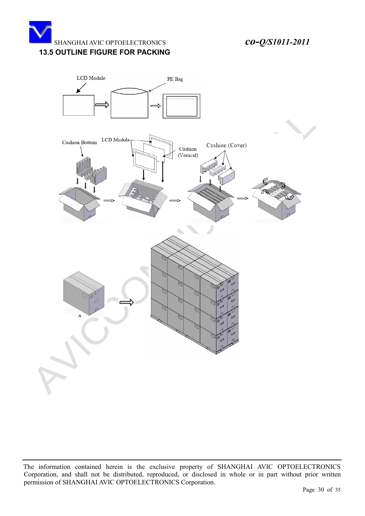![](_page_29_Picture_0.jpeg)

#### **13.5 OUTLINE FIGURE FOR PACKING**

![](_page_29_Figure_3.jpeg)

The information contained herein is the exclusive property of SHANGHAI AVIC OPTOELECTRONICS Corporation, and shall not be distributed, reproduced, or disclosed in whole or in part without prior written permission of SHANGHAI AVIC OPTOELECTRONICS Corporation.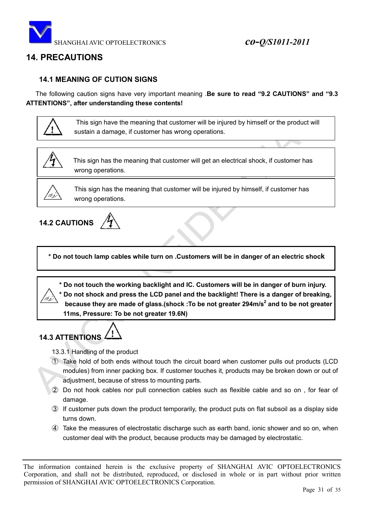![](_page_30_Picture_0.jpeg)

## <span id="page-30-0"></span>**14. PRECAUTIONS**

### **14.1 MEANING OF CUTION SIGNS**

 The following caution signs have very important meaning .**Be sure to read "9.2 CAUTIONS" and "9.3 ATTENTIONS", after understanding these contents!**

![](_page_30_Picture_5.jpeg)

 This sign have the meaning that customer will be injured by himself or the product will sustain a damage, if customer has wrong operations.

![](_page_30_Picture_7.jpeg)

This sign has the meaning that customer will get an electrical shock, if customer has wrong operations.

![](_page_30_Picture_9.jpeg)

This sign has the meaning that customer will be injured by himself, if customer has wrong operations.

![](_page_30_Picture_11.jpeg)

**\* Do not touch lamp cables while turn on .Customers will be in danger of an electric shock**

 **\* Do not touch the working backlight and IC. Customers will be in danger of burn injury. \* Do not shock and press the LCD panel and the backlight! There is a danger of breaking, because they are made of glass.(shock :To be not greater 294m/s<sup>2</sup> and to be not greater**  $\frac{1}{2}$ **11ms, Pressure: To be not greater 19.6N)**

## **14.3 ATTENTIONS**

- 13.3.1 Handling of the product
- 䐟 Take hold of both ends without touch the circuit board when customer pulls out products (LCD modules) from inner packing box. If customer touches it, products may be broken down or out of adjustment, because of stress to mounting parts.
- 䐠 Do not hook cables nor pull connection cables such as flexible cable and so on , for fear of damage.
- 䐡 If customer puts down the product temporarily, the product puts on flat subsoil as a display side turns down.
- 䐢 Take the measures of electrostatic discharge such as earth band, ionic shower and so on, when customer deal with the product, because products may be damaged by electrostatic.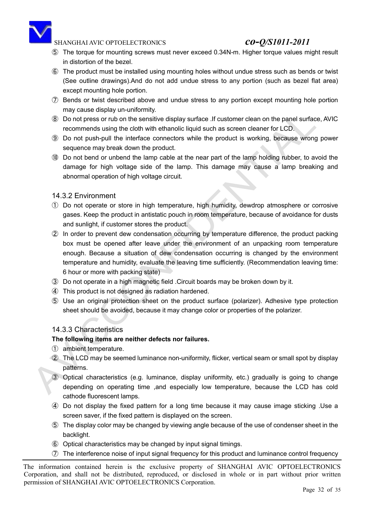![](_page_31_Picture_0.jpeg)

- 䐣 The torque for mounting screws must never exceed 0.34N-m. Higher torque values might result in distortion of the bezel.
- 䐤 The product must be installed using mounting holes without undue stress such as bends or twist (See outline drawings).And do not add undue stress to any portion (such as bezel flat area) except mounting hole portion.
- 䐥 Bends or twist described above and undue stress to any portion except mounting hole portion may cause display un-uniformity.
- 䐦 Do not press or rub on the sensitive display surface .If customer clean on the panel surface, AVIC recommends using the cloth with ethanolic liquid such as screen cleaner for LCD.
- 䐧 Do not push-pull the interface connectors while the product is working, because wrong power sequence may break down the product.
- 䐨 Do not bend or unbend the lamp cable at the near part of the lamp holding rubber, to avoid the damage for high voltage side of the lamp. This damage may cause a lamp breaking and abnormal operation of high voltage circuit.

#### 14.3.2 Environment

- 䐟 Do not operate or store in high temperature, high humidity, dewdrop atmosphere or corrosive gases. Keep the product in antistatic pouch in room temperature, because of avoidance for dusts and sunlight, if customer stores the product.
- 䐠 In order to prevent dew condensation occurring by temperature difference, the product packing box must be opened after leave under the environment of an unpacking room temperature enough. Because a situation of dew condensation occurring is changed by the environment temperature and humidity, evaluate the leaving time sufficiently. (Recommendation leaving time: 6 hour or more with packing state)
- 䐡 Do not operate in a high magnetic field .Circuit boards may be broken down by it.
- 䐢 This product is not designed as radiation hardened.
- 䐣 Use an original protection sheet on the product surface (polarizer). Adhesive type protection sheet should be avoided, because it may change color or properties of the polarizer.

### 14.3.3 Characteristics

#### **The following items are neither defects nor failures.**

- 䐟 ambient temperature.
- 䐠 The LCD may be seemed luminance non-uniformity, flicker, vertical seam or small spot by display patterns.
- 䐡 Optical characteristics (e.g. luminance, display uniformity, etc.) gradually is going to change depending on operating time ,and especially low temperature, because the LCD has cold cathode fluorescent lamps.
- 䐢 Do not display the fixed pattern for a long time because it may cause image sticking .Use a screen saver, if the fixed pattern is displayed on the screen.
- 䐣 The display color may be changed by viewing angle because of the use of condenser sheet in the backlight.
- 䐤 Optical characteristics may be changed by input signal timings.
- $\overline{O}$  The interference noise of input signal frequency for this product and luminance control frequency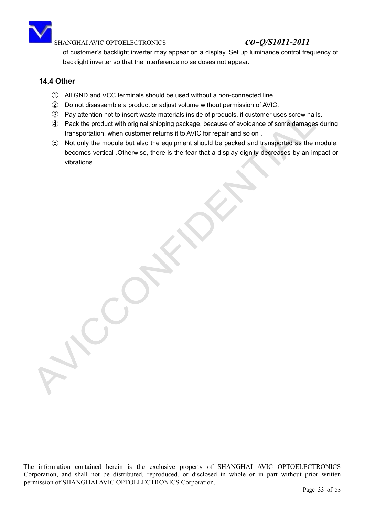![](_page_32_Picture_0.jpeg)

of customer's backlight inverter may appear on a display. Set up luminance control frequency of backlight inverter so that the interference noise doses not appear.

### **14.4 Other**

- 䐟 All GND and VCC terminals should be used without a non-connected line.
- 䐠 Do not disassemble a product or adjust volume without permission of AVIC.
- 䐡 Pay attention not to insert waste materials inside of products, if customer uses screw nails.
- 䐢 Pack the product with original shipping package, because of avoidance of some damages during transportation, when customer returns it to AVIC for repair and so on .
- 䐣 Not only the module but also the equipment should be packed and transported as the module. becomes vertical .Otherwise, there is the fear that a display dignity decreases by an impact or vibrations.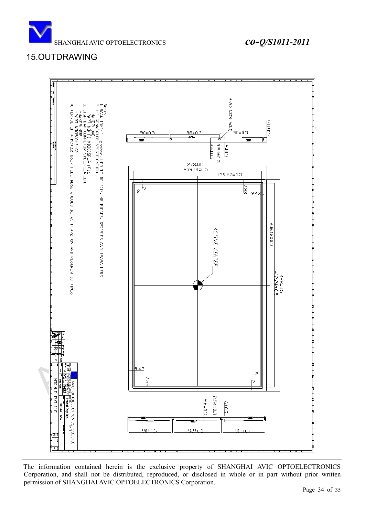![](_page_33_Picture_0.jpeg)

## <span id="page-33-0"></span>15.OUTDRAWING

![](_page_33_Figure_3.jpeg)